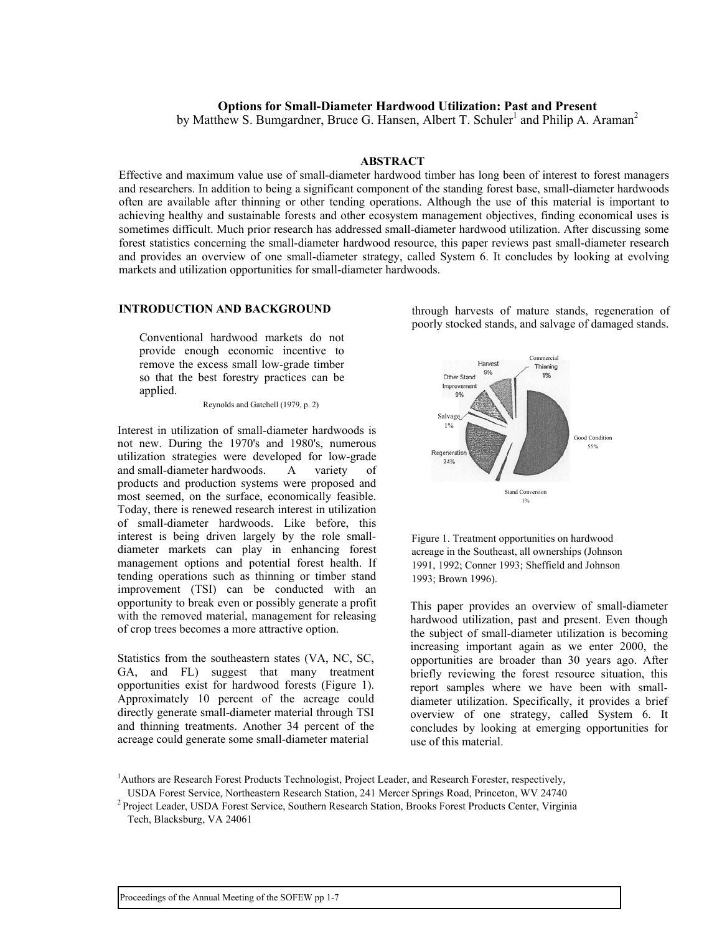### **Options for Small-Diameter Hardwood Utilization: Past and Present**

by Matthew S. Bumgardner, Bruce G. Hansen, Albert T. Schuler<sup>1</sup> and Philip A. Araman<sup>2</sup>

#### **ABSTRACT**

Effective and maximum value use of small-diameter hardwood timber has long been of interest to forest managers and researchers. In addition to being a significant component of the standing forest base, small-diameter hardwoods often are available after thinning or other tending operations. Although the use of this material is important to achieving healthy and sustainable forests and other ecosystem management objectives, finding economical uses is sometimes difficult. Much prior research has addressed small-diameter hardwood utilization. After discussing some forest statistics concerning the small-diameter hardwood resource, this paper reviews past small-diameter research and provides an overview of one small-diameter strategy, called System 6. It concludes by looking at evolving markets and utilization opportunities for small-diameter hardwoods.

Conventional hardwood markets do not provide enough economic incentive to remove the excess small low-grade timber so that the best forestry practices can be applied.

Reynolds and Gatchell (1979, p. 2)

Interest in utilization of small-diameter hardwoods is not new. During the 1970's and 1980's, numerous utilization strategies were developed for low-grade and small-diameter hardwoods. A variety of products and production systems were proposed and most seemed, on the surface, economically feasible. Today, there is renewed research interest in utilization of small-diameter hardwoods. Like before, this interest is being driven largely by the role smalldiameter markets can play in enhancing forest management options and potential forest health. If tending operations such as thinning or timber stand improvement (TSI) can be conducted with an opportunity to break even or possibly generate a profit with the removed material, management for releasing of crop trees becomes a more attractive option.

Statistics from the southeastern states (VA, NC, SC, GA, and FL) suggest that many treatment opportunities exist for hardwood forests (Figure 1). Approximately 10 percent of the acreage could directly generate small-diameter material through TSI and thinning treatments. Another 34 percent of the acreage could generate some small-diameter material

**INTRODUCTION AND BACKGROUND** through harvests of mature stands, regeneration of poorly stocked stands, and salvage of damaged stands.





This paper provides an overview of small-diameter hardwood utilization, past and present. Even though the subject of small-diameter utilization is becoming increasing important again as we enter 2000, the opportunities are broader than 30 years ago. After briefly reviewing the forest resource situation, this report samples where we have been with smalldiameter utilization. Specifically, it provides a brief overview of one strategy, called System 6. It concludes by looking at emerging opportunities for use of this material.

USDA Forest Service, Northeastern Research Station, 241 Mercer Springs Road, Princeton, WV 24740 2 Project Leader, USDA Forest Service, Southern Research Station, Brooks Forest Products Center, Virginia

<sup>&</sup>lt;sup>1</sup>Authors are Research Forest Products Technologist, Project Leader, and Research Forester, respectively,

Tech, Blacksburg, VA 24061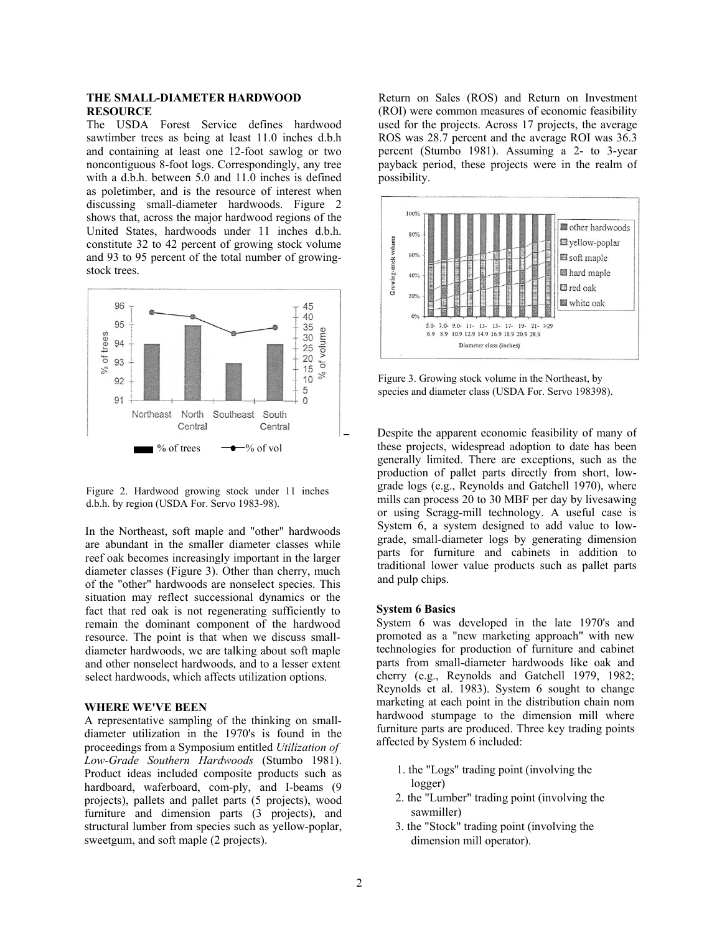#### **THE SMALL-DIAMETER HARDWOOD RESOURCE**

The USDA Forest Service defines hardwood sawtimber trees as being at least 11.0 inches d.b.h and containing at least one 12-foot sawlog or two noncontiguous 8-foot logs. Correspondingly, any tree with a d.b.h. between 5.0 and 11.0 inches is defined as poletimber, and is the resource of interest when discussing small-diameter hardwoods. Figure 2 shows that, across the major hardwood regions of the United States, hardwoods under 11 inches d.b.h. constitute 32 to 42 percent of growing stock volume and 93 to 95 percent of the total number of growingstock trees.



Figure 2. Hardwood growing stock under 11 inches d.b.h. by region (USDA For. Servo 1983-98).

In the Northeast, soft maple and "other" hardwoods are abundant in the smaller diameter classes while reef oak becomes increasingly important in the larger diameter classes (Figure 3). Other than cherry, much of the "other" hardwoods are nonselect species. This situation may reflect successional dynamics or the fact that red oak is not regenerating sufficiently to remain the dominant component of the hardwood resource. The point is that when we discuss smalldiameter hardwoods, we are talking about soft maple and other nonselect hardwoods, and to a lesser extent select hardwoods, which affects utilization options.

#### **WHERE WE'VE BEEN**

A representative sampling of the thinking on smalldiameter utilization in the 1970's is found in the proceedings from a Symposium entitled *Utilization of Low-Grade Southern Hardwoods* (Stumbo 1981). Product ideas included composite products such as hardboard, waferboard, com-ply, and I-beams (9 projects), pallets and pallet parts (5 projects), wood furniture and dimension parts (3 projects), and structural lumber from species such as yellow-poplar, sweetgum, and soft maple (2 projects).

Return on Sales (ROS) and Return on Investment (ROI) were common measures of economic feasibility used for the projects. Across 17 projects, the average ROS was 28.7 percent and the average ROI was 36.3 percent (Stumbo 1981). Assuming a 2- to 3-year payback period, these projects were in the realm of possibility.



Figure 3. Growing stock volume in the Northeast, by species and diameter class (USDA For. Servo 198398).

Despite the apparent economic feasibility of many of these projects, widespread adoption to date has been generally limited. There are exceptions, such as the production of pallet parts directly from short, lowgrade logs (e.g., Reynolds and Gatchell 1970), where mills can process 20 to 30 MBF per day by livesawing or using Scragg-mill technology. A useful case is System 6, a system designed to add value to lowgrade, small-diameter logs by generating dimension parts for furniture and cabinets in addition to traditional lower value products such as pallet parts and pulp chips.

#### **System 6 Basics**

System 6 was developed in the late 1970's and promoted as a "new marketing approach" with new technologies for production of furniture and cabinet parts from small-diameter hardwoods like oak and cherry (e.g., Reynolds and Gatchell 1979, 1982; Reynolds et al. 1983). System 6 sought to change marketing at each point in the distribution chain nom hardwood stumpage to the dimension mill where furniture parts are produced. Three key trading points affected by System 6 included:

- 1. the "Logs" trading point (involving the logger)
- 2. the "Lumber" trading point (involving the sawmiller)
- 3. the "Stock" trading point (involving the dimension mill operator).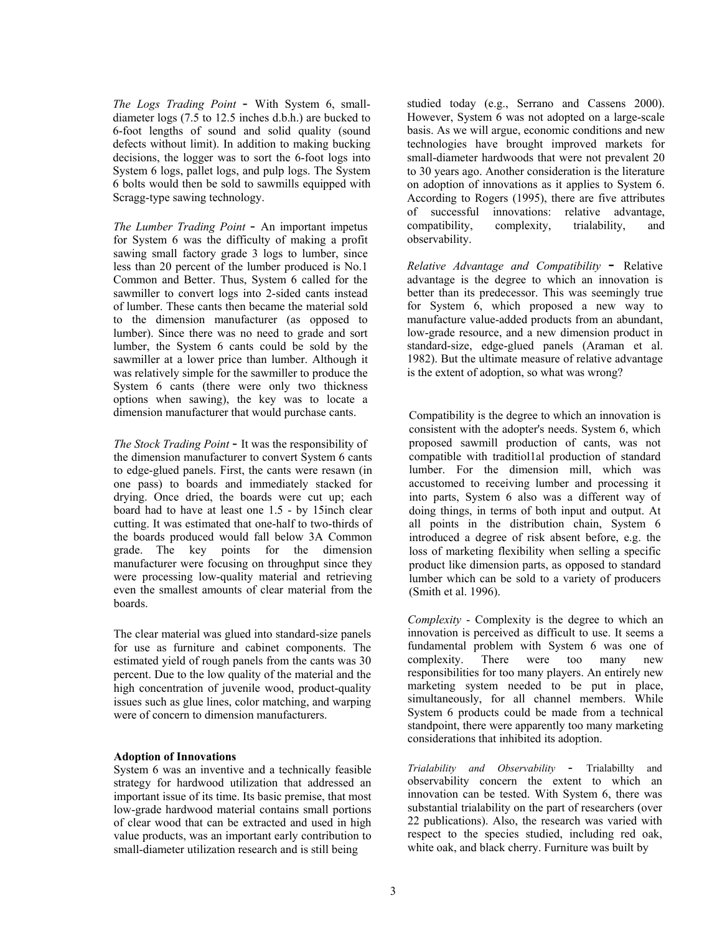*The Logs Trading Point* - With System 6, smalldiameter logs (7.5 to 12.5 inches d.b.h.) are bucked to 6-foot lengths of sound and solid quality (sound defects without limit). In addition to making bucking decisions, the logger was to sort the 6-foot logs into System 6 logs, pallet logs, and pulp logs. The System 6 bolts would then be sold to sawmills equipped with Scragg-type sawing technology.

*The Lumber Trading Point* - An important impetus for System 6 was the difficulty of making a profit sawing small factory grade 3 logs to lumber, since less than 20 percent of the lumber produced is No.1 Common and Better. Thus, System 6 called for the sawmiller to convert logs into 2-sided cants instead of lumber. These cants then became the material sold to the dimension manufacturer (as opposed to lumber). Since there was no need to grade and sort lumber, the System 6 cants could be sold by the sawmiller at a lower price than lumber. Although it was relatively simple for the sawmiller to produce the System 6 cants (there were only two thickness options when sawing), the key was to locate a dimension manufacturer that would purchase cants.

*The Stock Trading Point* - It was the responsibility of the dimension manufacturer to convert System 6 cants to edge-glued panels. First, the cants were resawn (in one pass) to boards and immediately stacked for drying. Once dried, the boards were cut up; each board had to have at least one 1.5 - by 15inch clear cutting. It was estimated that one-half to two-thirds of the boards produced would fall below 3A Common grade. The key points for the dimension manufacturer were focusing on throughput since they were processing low-quality material and retrieving even the smallest amounts of clear material from the boards.

The clear material was glued into standard-size panels for use as furniture and cabinet components. The estimated yield of rough panels from the cants was 30 percent. Due to the low quality of the material and the high concentration of juvenile wood, product-quality issues such as glue lines, color matching, and warping were of concern to dimension manufacturers.

#### **Adoption of Innovations**

System 6 was an inventive and a technically feasible strategy for hardwood utilization that addressed an important issue of its time. Its basic premise, that most low-grade hardwood material contains small portions of clear wood that can be extracted and used in high value products, was an important early contribution to small-diameter utilization research and is still being

studied today (e.g., Serrano and Cassens 2000). However, System 6 was not adopted on a large-scale basis. As we will argue, economic conditions and new technologies have brought improved markets for small-diameter hardwoods that were not prevalent 20 to 30 years ago. Another consideration is the literature on adoption of innovations as it applies to System 6. According to Rogers (1995), there are five attributes of successful innovations: relative advantage, compatibility, complexity, trialability, and observability.

*Relative Advantage and Compatibility* - Relative advantage is the degree to which an innovation is better than its predecessor. This was seemingly true for System 6, which proposed a new way to manufacture value-added products from an abundant, low-grade resource, and a new dimension product in standard-size, edge-glued panels (Araman et al. 1982). But the ultimate measure of relative advantage is the extent of adoption, so what was wrong?

Compatibility is the degree to which an innovation is consistent with the adopter's needs. System 6, which proposed sawmill production of cants, was not compatible with traditiol1al production of standard lumber. For the dimension mill, which was accustomed to receiving lumber and processing it into parts, System 6 also was a different way of doing things, in terms of both input and output. At all points in the distribution chain, System 6 introduced a degree of risk absent before, e.g. the loss of marketing flexibility when selling a specific product like dimension parts, as opposed to standard lumber which can be sold to a variety of producers (Smith et al. 1996).

*Complexity* - Complexity is the degree to which an innovation is perceived as difficult to use. It seems a fundamental problem with System 6 was one of complexity. There were too many new responsibilities for too many players. An entirely new marketing system needed to be put in place, simultaneously, for all channel members. While System 6 products could be made from a technical standpoint, there were apparently too many marketing considerations that inhibited its adoption.

*Trialability and Observability* - Trialabillty and observability concern the extent to which an innovation can be tested. With System 6, there was substantial trialability on the part of researchers (over 22 publications). Also, the research was varied with respect to the species studied, including red oak, white oak, and black cherry. Furniture was built by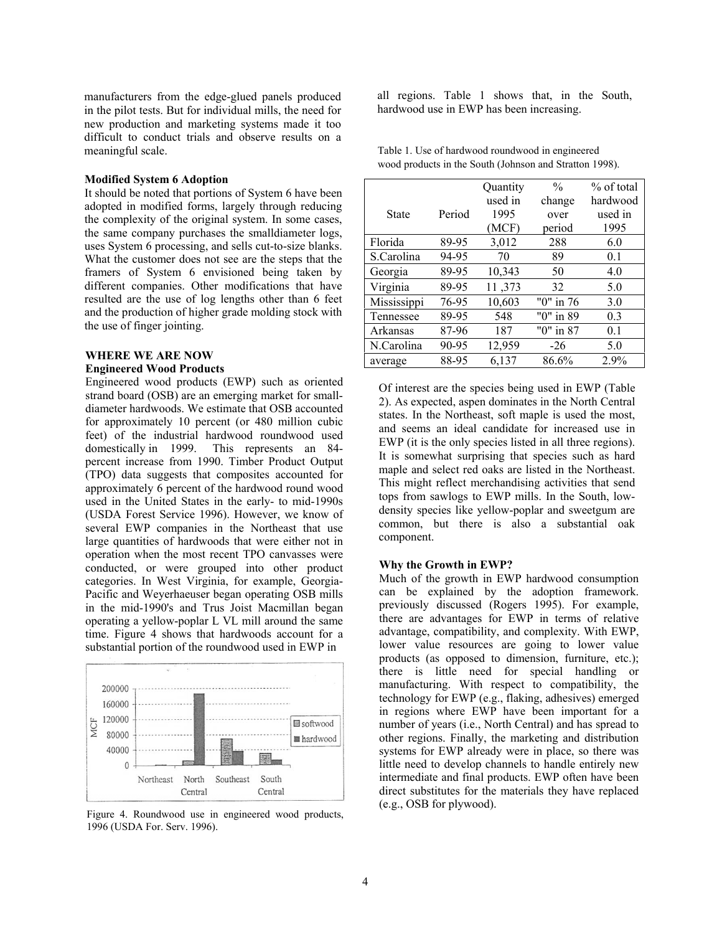manufacturers from the edge-glued panels produced in the pilot tests. But for individual mills, the need for new production and marketing systems made it too difficult to conduct trials and observe results on a meaningful scale. Table 1. Use of hardwood roundwood in engineered

#### **Modified System 6 Adoption**

It should be noted that portions of System 6 have been adopted in modified forms, largely through reducing the complexity of the original system. In some cases, the same company purchases the smalldiameter logs, uses System 6 processing, and sells cut-to-size blanks. What the customer does not see are the steps that the framers of System 6 envisioned being taken by different companies. Other modifications that have resulted are the use of log lengths other than 6 feet and the production of higher grade molding stock with the use of finger jointing.

## **WHERE WE ARE NOW<br>
Engineered Wood Products**

Engineered wood products (EWP) such as oriented strand board (OSB) are an emerging market for smalldiameter hardwoods. We estimate that OSB accounted for approximately 10 percent (or 480 million cubic feet) of the industrial hardwood roundwood used domestically in 1999. This represents an 84 percent increase from 1990. Timber Product Output (TPO) data suggests that composites accounted for approximately 6 percent of the hardwood round wood used in the United States in the early- to mid-1990s (USDA Forest Service 1996). However, we know of several EWP companies in the Northeast that use large quantities of hardwoods that were either not in operation when the most recent TPO canvasses were conducted, or were grouped into other product categories. In West Virginia, for example, Georgia-Pacific and Weyerhaeuser began operating OSB mills in the mid-1990's and Trus Joist Macmillan began operating a yellow-poplar L VL mill around the same time. Figure 4 shows that hardwoods account for a substantial portion of the roundwood used in EWP in



Figure 4. Roundwood use in engineered wood products, 1996 (USDA For. Serv. 1996).

all regions. Table 1 shows that, in the South, hardwood use in EWP has been increasing.

|              |        | Quantity | $\frac{0}{0}$ | % of total |
|--------------|--------|----------|---------------|------------|
|              |        | used in  | change        | hardwood   |
| <b>State</b> | Period | 1995     | over          | used in    |
|              |        | (MCF)    | period        | 1995       |
| Florida      | 89-95  | 3,012    | 288           | 6.0        |
| S.Carolina   | 94-95  | 70       | 89            | 0.1        |
| Georgia      | 89-95  | 10,343   | 50            | 4.0        |
| Virginia     | 89-95  | 11,373   | 32            | 5.0        |
| Mississippi  | 76-95  | 10,603   | "0" in 76     | 3.0        |
| Tennessee    | 89-95  | 548      | "0" in 89     | 0.3        |
| Arkansas     | 87-96  | 187      | "0" in 87     | 0.1        |
| N.Carolina   | 90-95  | 12,959   | $-26$         | 5.0        |
| average      | 88-95  | 6,137    | 86.6%         | 2.9%       |

wood products in the South (Johnson and Stratton 1998).

Of interest are the species being used in EWP (Table 2). As expected, aspen dominates in the North Central states. In the Northeast, soft maple is used the most, and seems an ideal candidate for increased use in EWP (it is the only species listed in all three regions). It is somewhat surprising that species such as hard maple and select red oaks are listed in the Northeast. This might reflect merchandising activities that send tops from sawlogs to EWP mills. In the South, lowdensity species like yellow-poplar and sweetgum are common, but there is also a substantial oak component.

#### **Why the Growth in EWP?**

Much of the growth in EWP hardwood consumption can be explained by the adoption framework. previously discussed (Rogers 1995). For example, there are advantages for EWP in terms of relative advantage, compatibility, and complexity. With EWP, lower value resources are going to lower value products (as opposed to dimension, furniture, etc.); there is little need for special handling or manufacturing. With respect to compatibility, the technology for EWP (e.g., flaking, adhesives) emerged in regions where EWP have been important for a number of years (i.e., North Central) and has spread to other regions. Finally, the marketing and distribution systems for EWP already were in place, so there was little need to develop channels to handle entirely new intermediate and final products. EWP often have been direct substitutes for the materials they have replaced (e.g., OSB for plywood).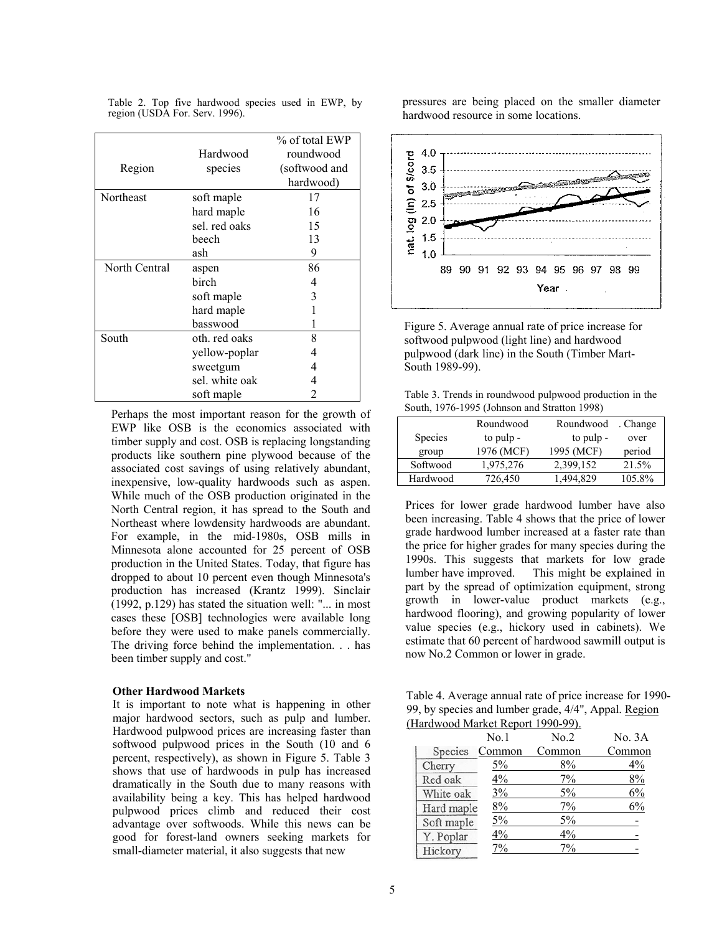|  |  | Table 2. Top five hardwood species used in EWP, by |  |  |  |
|--|--|----------------------------------------------------|--|--|--|
|  |  | region (USDA For. Serv. 1996).                     |  |  |  |

| Region        | Hardwood<br>species | % of total EWP<br>roundwood<br>(softwood and<br>hardwood) |
|---------------|---------------------|-----------------------------------------------------------|
| Northeast     | soft maple          | 17                                                        |
|               | hard maple          | 16                                                        |
|               | sel, red oaks       | 15                                                        |
|               | beech               | 13                                                        |
|               | ash                 | 9                                                         |
| North Central | aspen               | 86                                                        |
|               | birch               | 4                                                         |
|               | soft maple          | 3                                                         |
|               | hard maple          |                                                           |
|               | basswood            |                                                           |
| South         | oth, red oaks       | 8                                                         |
|               | yellow-poplar       | 4                                                         |
|               | sweetgum            | 4                                                         |
|               | sel. white oak      | 4                                                         |
|               | soft maple          | 2                                                         |

Perhaps the most important reason for the growth of EWP like OSB is the economics associated with timber supply and cost. OSB is replacing longstanding products like southern pine plywood because of the associated cost savings of using relatively abundant, inexpensive, low-quality hardwoods such as aspen. While much of the OSB production originated in the North Central region, it has spread to the South and Northeast where lowdensity hardwoods are abundant. For example, in the mid-1980s, OSB mills in Minnesota alone accounted for 25 percent of OSB production in the United States. Today, that figure has dropped to about 10 percent even though Minnesota's production has increased (Krantz 1999). Sinclair  $(1992, p.129)$  has stated the situation well: "... in most cases these [OSB] technologies were available long before they were used to make panels commercially. The driving force behind the implementation. . . has been timber supply and cost."

#### **Other Hardwood Markets**

It is important to note what is happening in other major hardwood sectors, such as pulp and lumber. Hardwood pulpwood prices are increasing faster than softwood pulpwood prices in the South (10 and 6 percent, respectively), as shown in Figure 5. Table 3 shows that use of hardwoods in pulp has increased dramatically in the South due to many reasons with availability being a key. This has helped hardwood pulpwood prices climb and reduced their cost advantage over softwoods. While this news can be good for forest-land owners seeking markets for small-diameter material, it also suggests that new

pressures are being placed on the smaller diameter hardwood resource in some locations.



Figure 5. Average annual rate of price increase for softwood pulpwood (light line) and hardwood pulpwood (dark line) in the South (Timber Mart-South 1989-99).

Table 3. Trends in roundwood pulpwood production in the South, 1976-1995 (Johnson and Stratton 1998)

|                | Roundwood  | Roundwood  | . Change |
|----------------|------------|------------|----------|
| <b>Species</b> | to pulp -  | to pulp -  | over     |
| group          | 1976 (MCF) | 1995 (MCF) | period   |
| Softwood       | 1,975,276  | 2,399,152  | 21.5%    |
| Hardwood       | 726,450    | 1,494,829  | 105.8%   |

Prices for lower grade hardwood lumber have also been increasing. Table 4 shows that the price of lower grade hardwood lumber increased at a faster rate than the price for higher grades for many species during the 1990s. This suggests that markets for low grade lumber have improved. This might be explained in part by the spread of optimization equipment, strong growth in lower-value product markets (e.g., hardwood flooring), and growing popularity of lower value species (e.g., hickory used in cabinets). We estimate that 60 percent of hardwood sawmill output is now No.2 Common or lower in grade.

Table 4. Average annual rate of price increase for 1990- 99, by species and lumber grade, 4/4", Appal. Region (Hardwood Market Report 1990-99).

|            | No.1           | No.2   | No. 3A |
|------------|----------------|--------|--------|
|            | Species Common | Common | Common |
| Cherry     | 5%             | 8%     | 4%     |
| Red oak    | 4%             | $7\%$  | 8%     |
| White oak  | 3%             | 5%     | 6%     |
| Hard maple | 8%             | $7\%$  | 6%     |
| Soft maple | 5%             | 5%     |        |
| Y. Poplar  | 4%             | $4\%$  |        |
| Hickory    | $7\%$          | 7%     |        |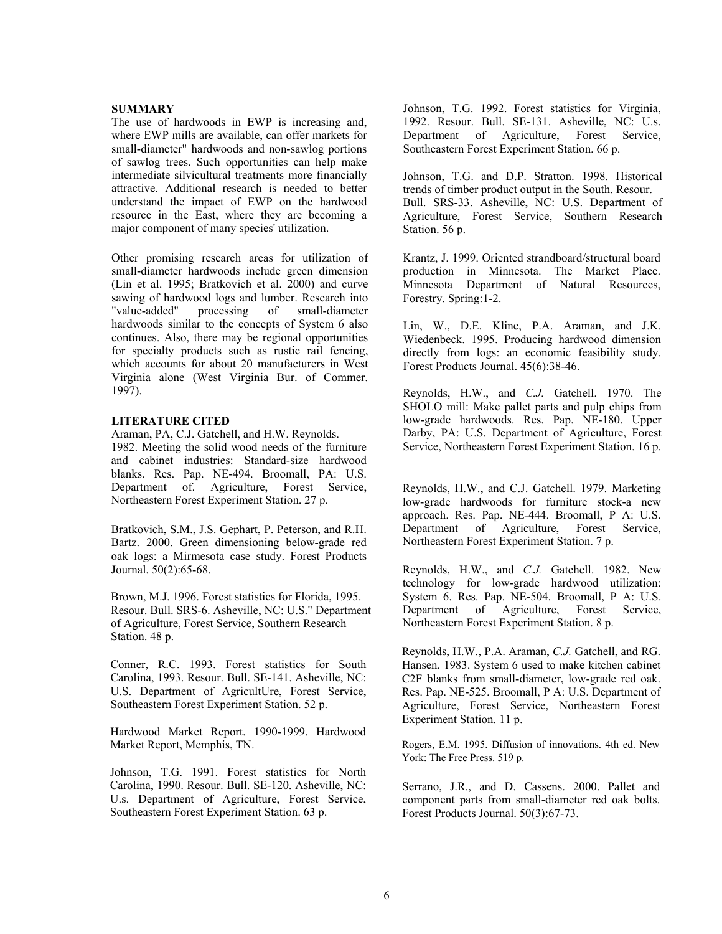#### **SUMMARY**

The use of hardwoods in EWP is increasing and, where EWP mills are available, can offer markets for small-diameter" hardwoods and non-sawlog portions of sawlog trees. Such opportunities can help make intermediate silvicultural treatments more financially attractive. Additional research is needed to better understand the impact of EWP on the hardwood resource in the East, where they are becoming a major component of many species' utilization.

Other promising research areas for utilization of small-diameter hardwoods include green dimension (Lin et al. 1995; Bratkovich et al. 2000) and curve sawing of hardwood logs and lumber. Research into "value-added" processing of small-diameter hardwoods similar to the concepts of System 6 also continues. Also, there may be regional opportunities for specialty products such as rustic rail fencing, which accounts for about 20 manufacturers in West Virginia alone (West Virginia Bur. of Commer. 1997).

#### **LITERATURE CITED**

Araman, PA, C.J. Gatchell, and H.W. Reynolds. 1982. Meeting the solid wood needs of the furniture and cabinet industries: Standard-size hardwood blanks. Res. Pap. NE-494. Broomall, PA: U.S. Department of. Agriculture, Forest Service, Northeastern Forest Experiment Station. 27 p.

Bratkovich, S.M., J.S. Gephart, P. Peterson, and R.H. Bartz. 2000. Green dimensioning below-grade red oak logs: a Mirmesota case study. Forest Products Journal. 50(2):65-68. Reynolds, H.W., and *C.J.* Gatchell. 1982. New

Brown, M.J. 1996. Forest statistics for Florida, 1995. Resour. Bull. SRS-6. Asheville, NC: U.S." Department of Agriculture, Forest Service, Southern Research Station. 48 p.

Conner, R.C. 1993. Forest statistics for South Carolina, 1993. Resour. Bull. SE-141. Asheville, NC: U.S. Department of AgricultUre, Forest Service, Southeastern Forest Experiment Station. 52 p.

Hardwood Market Report. 1990-1999. Hardwood Market Report, Memphis, TN. Rogers, E.M. 1995. Diffusion of innovations. 4th ed. New

Johnson, T.G. 1991. Forest statistics for North Carolina, 1990. Resour. Bull. SE-120. Asheville, NC: U.s. Department of Agriculture, Forest Service, Southeastern Forest Experiment Station. 63 p.

Johnson, T.G. 1992. Forest statistics for Virginia, 1992. Resour. Bull. SE-131. Asheville, NC: U.s. Department of Agriculture, Forest Service, Southeastern Forest Experiment Station. 66 p.

Johnson, T.G. and D.P. Stratton. 1998. Historical trends of timber product output in the South. Resour. Bull. SRS-33. Asheville, NC: U.S. Department of Agriculture, Forest Service, Southern Research Station. 56 p.

Krantz, J. 1999. Oriented strandboard/structural board production in Minnesota. The Market Place. Minnesota Department of Natural Resources, Forestry. Spring:1-2.

Lin, W., D.E. Kline, P.A. Araman, and J.K. Wiedenbeck. 1995. Producing hardwood dimension directly from logs: an economic feasibility study. Forest Products Journal. 45(6):38-46.

Reynolds, H.W., and *C.J.* Gatchell. 1970. The SHOLO mill: Make pallet parts and pulp chips from low-grade hardwoods. Res. Pap. NE-180. Upper Darby, PA: U.S. Department of Agriculture, Forest Service, Northeastern Forest Experiment Station. 16 p.

Reynolds, H.W., and C.J. Gatchell. 1979. Marketing low-grade hardwoods for furniture stock-a new approach. Res. Pap. NE-444. Broomall, P A: U.S. Department of Agriculture, Forest Service, Northeastern Forest Experiment Station. 7 p.

technology for low-grade hardwood utilization: System 6. Res. Pap. NE-504. Broomall, P A: U.S. Department of Agriculture, Forest Service, Northeastern Forest Experiment Station. 8 p.

Reynolds, H.W., P.A. Araman, *C.J.* Gatchell, and RG. Hansen. 1983. System 6 used to make kitchen cabinet C2F blanks from small-diameter, low-grade red oak. Res. Pap. NE-525. Broomall, P A: U.S. Department of Agriculture, Forest Service, Northeastern Forest Experiment Station. 11 p.

York: The Free Press. 519 p.

Serrano, J.R., and D. Cassens. 2000. Pallet and component parts from small-diameter red oak bolts. Forest Products Journal. 50(3):67-73.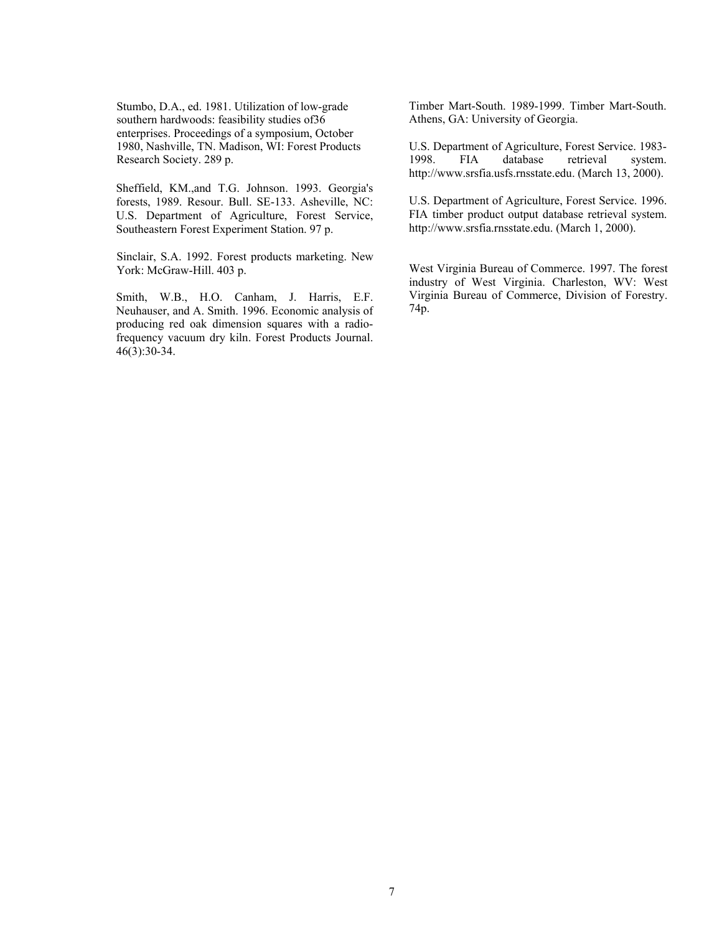Stumbo, D.A., ed. 1981. Utilization of low-grade southern hardwoods: feasibility studies of36 enterprises. Proceedings of a symposium, October 1980, Nashville, TN. Madison, WI: Forest Products Research Society. 289 p.

Sheffield, KM.,and T.G. Johnson. 1993. Georgia's forests, 1989. Resour. Bull. SE-133. Asheville, NC: U.S. Department of Agriculture, Forest Service, Southeastern Forest Experiment Station. 97 p.

Sinclair, S.A. 1992. Forest products marketing. New York: McGraw-Hill. 403 p. West Virginia Bureau of Commerce. 1997. The forest

Smith, W.B., H.O. Canham, J. Harris, E.F. Neuhauser, and A. Smith. 1996. Economic analysis of producing red oak dimension squares with a radiofrequency vacuum dry kiln. Forest Products Journal. 46(3):30-34.

Timber Mart-South. 1989-1999. Timber Mart-South. Athens, GA: University of Georgia.

U.S. Department of Agriculture, Forest Service. 1983- 1998. FIA database retrieval system. http://www.srsfia.usfs.rnsstate.edu. (March 13, 2000).

U.S. Department of Agriculture, Forest Service. 1996. FIA timber product output database retrieval system. http://www.srsfia.rnsstate.edu. (March 1, 2000).

industry of West Virginia. Charleston, WV: West Virginia Bureau of Commerce, Division of Forestry. 74p.